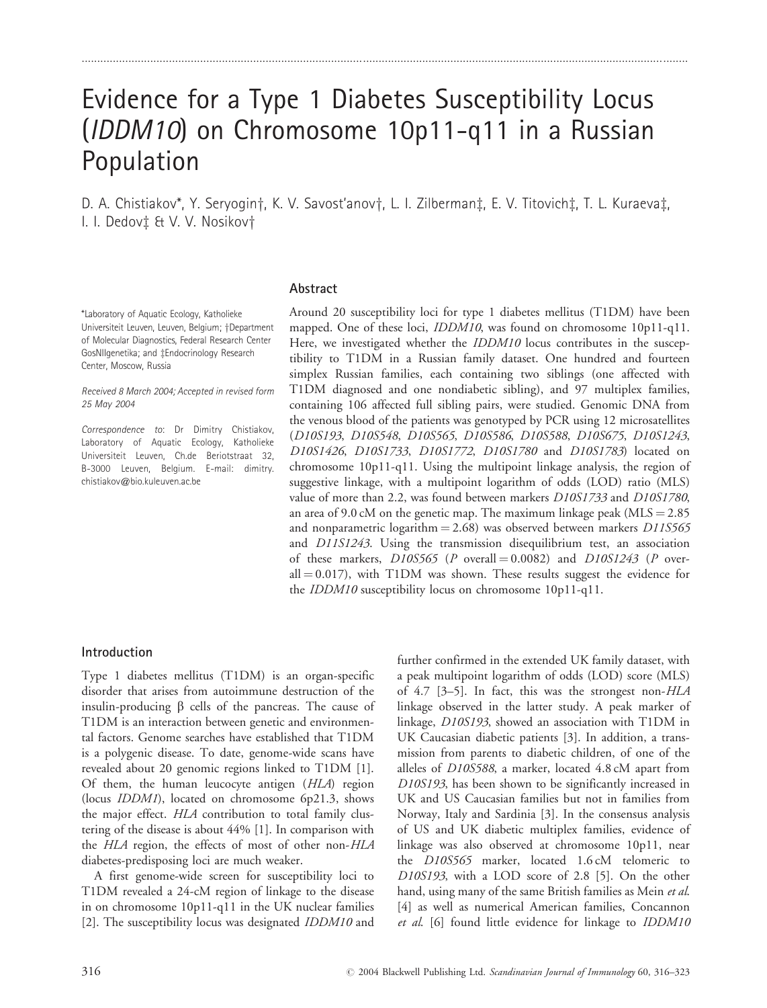# Evidence for a Type 1 Diabetes Susceptibility Locus (IDDM10) on Chromosome 10p11-q11 in a Russian Population

..................................................................................................................................................................................................

D. A. Chistiakov\*, Y. Seryogin†, K. V. Savost'anov†, L. I. Zilberman‡, E. V. Titovich‡, T. L. Kuraeva‡, I. I. Dedovi & V. V. Nosikovi

#### Abstract

\*Laboratory of Aquatic Ecology, Katholieke Universiteit Leuven, Leuven, Belgium; †Department of Molecular Diagnostics, Federal Research Center GosNIIgenetika; and ‡Endocrinology Research Center, Moscow, Russia

Received 8 March 2004; Accepted in revised form 25 May 2004

Correspondence to: Dr Dimitry Chistiakov, Laboratory of Aquatic Ecology, Katholieke Universiteit Leuven, Ch.de Beriotstraat 32, B-3000 Leuven, Belgium. E-mail: dimitry. chistiakov@bio.kuleuven.ac.be

Around 20 susceptibility loci for type 1 diabetes mellitus (T1DM) have been mapped. One of these loci, *IDDM10*, was found on chromosome 10p11-q11. Here, we investigated whether the *IDDM10* locus contributes in the susceptibility to T1DM in a Russian family dataset. One hundred and fourteen simplex Russian families, each containing two siblings (one affected with T1DM diagnosed and one nondiabetic sibling), and 97 multiplex families, containing 106 affected full sibling pairs, were studied. Genomic DNA from the venous blood of the patients was genotyped by PCR using 12 microsatellites (D10S193, D10S548, D10S565, D10S586, D10S588, D10S675, D10S1243, D10S1426, D10S1733, D10S1772, D10S1780 and D10S1783) located on chromosome 10p11-q11. Using the multipoint linkage analysis, the region of suggestive linkage, with a multipoint logarithm of odds (LOD) ratio (MLS) value of more than 2.2, was found between markers D10S1733 and D10S1780, an area of 9.0 cM on the genetic map. The maximum linkage peak ( $MLS = 2.85$ ) and nonparametric logarithm  $= 2.68$ ) was observed between markers D11S565 and D11S1243. Using the transmission disequilibrium test, an association of these markers,  $D10S565$  (P overall = 0.0082) and  $D10S1243$  (P overall  $= 0.017$ ), with T1DM was shown. These results suggest the evidence for the IDDM10 susceptibility locus on chromosome 10p11-q11.

#### Introduction

Type 1 diabetes mellitus (T1DM) is an organ-specific disorder that arises from autoimmune destruction of the insulin-producing  $\beta$  cells of the pancreas. The cause of T1DM is an interaction between genetic and environmental factors. Genome searches have established that T1DM is a polygenic disease. To date, genome-wide scans have revealed about 20 genomic regions linked to T1DM [1]. Of them, the human leucocyte antigen (HLA) region (locus IDDM1), located on chromosome 6p21.3, shows the major effect. HLA contribution to total family clustering of the disease is about 44% [1]. In comparison with the HLA region, the effects of most of other non-HLA diabetes-predisposing loci are much weaker.

A first genome-wide screen for susceptibility loci to T1DM revealed a 24-cM region of linkage to the disease in on chromosome 10p11-q11 in the UK nuclear families [2]. The susceptibility locus was designated IDDM10 and

further confirmed in the extended UK family dataset, with a peak multipoint logarithm of odds (LOD) score (MLS) of 4.7 [3–5]. In fact, this was the strongest non-HLA linkage observed in the latter study. A peak marker of linkage, D10S193, showed an association with T1DM in UK Caucasian diabetic patients [3]. In addition, a transmission from parents to diabetic children, of one of the alleles of D10S588, a marker, located 4.8 cM apart from D10S193, has been shown to be significantly increased in UK and US Caucasian families but not in families from Norway, Italy and Sardinia [3]. In the consensus analysis of US and UK diabetic multiplex families, evidence of linkage was also observed at chromosome 10p11, near the D10S565 marker, located 1.6 cM telomeric to D10S193, with a LOD score of 2.8 [5]. On the other hand, using many of the same British families as Mein et al. [4] as well as numerical American families, Concannon et al. [6] found little evidence for linkage to IDDM10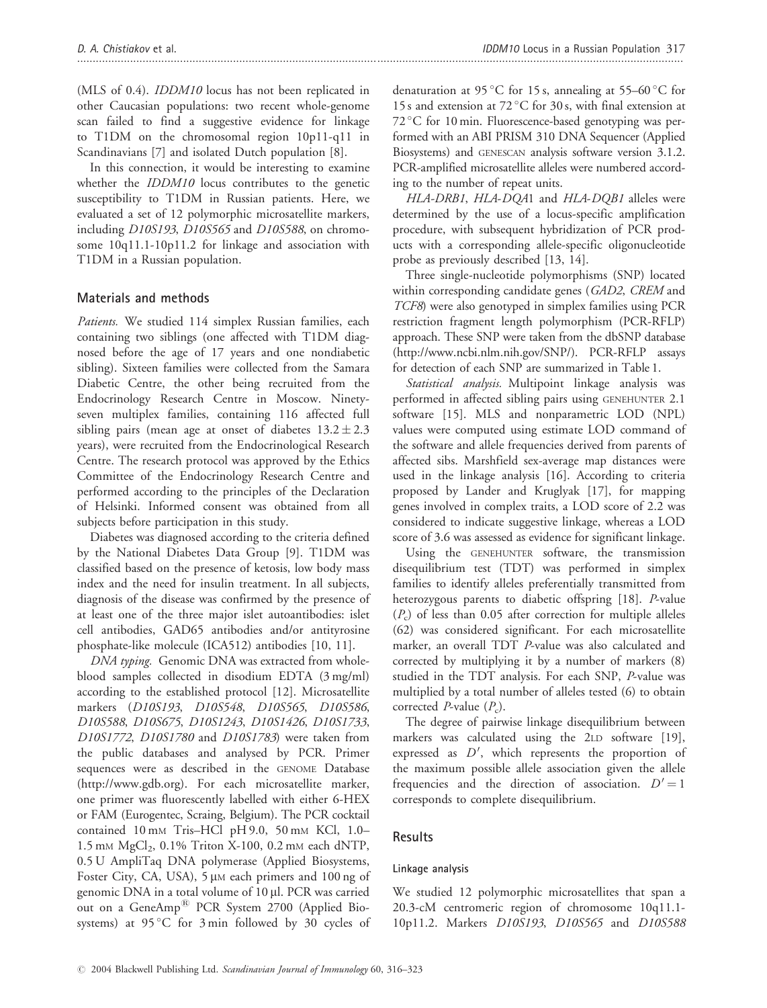(MLS of 0.4). IDDM10 locus has not been replicated in other Caucasian populations: two recent whole-genome scan failed to find a suggestive evidence for linkage to T1DM on the chromosomal region 10p11-q11 in Scandinavians [7] and isolated Dutch population [8].

In this connection, it would be interesting to examine whether the *IDDM10* locus contributes to the genetic susceptibility to T1DM in Russian patients. Here, we evaluated a set of 12 polymorphic microsatellite markers, including D10S193, D10S565 and D10S588, on chromosome 10q11.1-10p11.2 for linkage and association with T1DM in a Russian population.

# Materials and methods

Patients. We studied 114 simplex Russian families, each containing two siblings (one affected with T1DM diagnosed before the age of 17 years and one nondiabetic sibling). Sixteen families were collected from the Samara Diabetic Centre, the other being recruited from the Endocrinology Research Centre in Moscow. Ninetyseven multiplex families, containing 116 affected full sibling pairs (mean age at onset of diabetes  $13.2 \pm 2.3$ years), were recruited from the Endocrinological Research Centre. The research protocol was approved by the Ethics Committee of the Endocrinology Research Centre and performed according to the principles of the Declaration of Helsinki. Informed consent was obtained from all subjects before participation in this study.

Diabetes was diagnosed according to the criteria defined by the National Diabetes Data Group [9]. T1DM was classified based on the presence of ketosis, low body mass index and the need for insulin treatment. In all subjects, diagnosis of the disease was confirmed by the presence of at least one of the three major islet autoantibodies: islet cell antibodies, GAD65 antibodies and/or antityrosine phosphate-like molecule (ICA512) antibodies [10, 11].

DNA typing. Genomic DNA was extracted from wholeblood samples collected in disodium EDTA (3 mg/ml) according to the established protocol [12]. Microsatellite markers (D10S193, D10S548, D10S565, D10S586, D10S588, D10S675, D10S1243, D10S1426, D10S1733, D10S1772, D10S1780 and D10S1783) were taken from the public databases and analysed by PCR. Primer sequences were as described in the GENOME Database (http://www.gdb.org). For each microsatellite marker, one primer was fluorescently labelled with either 6-HEX or FAM (Eurogentec, Scraing, Belgium). The PCR cocktail contained 10 mM Tris–HCl pH 9.0, 50 mM KCl, 1.0– 1.5 mm  $MgCl<sub>2</sub>$ , 0.1% Triton X-100, 0.2 mm each dNTP, 0.5 U AmpliTaq DNA polymerase (Applied Biosystems, Foster City, CA, USA), 5 µM each primers and 100 ng of genomic DNA in a total volume of 10 µl. PCR was carried out on a GeneAmp<sup>®</sup> PCR System 2700 (Applied Biosystems) at  $95^{\circ}$ C for  $3 \text{ min}$  followed by  $30$  cycles of

denaturation at 95 °C for 15 s, annealing at 55–60 °C for 15 s and extension at 72 °C for 30 s, with final extension at 72 °C for 10 min. Fluorescence-based genotyping was performed with an ABI PRISM 310 DNA Sequencer (Applied Biosystems) and GENESCAN analysis software version 3.1.2. PCR-amplified microsatellite alleles were numbered according to the number of repeat units.

HLA-DRB1, HLA-DQA1 and HLA-DQB1 alleles were determined by the use of a locus-specific amplification procedure, with subsequent hybridization of PCR products with a corresponding allele-specific oligonucleotide probe as previously described [13, 14].

Three single-nucleotide polymorphisms (SNP) located within corresponding candidate genes (GAD2, CREM and TCF8) were also genotyped in simplex families using PCR restriction fragment length polymorphism (PCR-RFLP) approach. These SNP were taken from the dbSNP database (http://www.ncbi.nlm.nih.gov/SNP/). PCR-RFLP assays for detection of each SNP are summarized in Table 1.

Statistical analysis. Multipoint linkage analysis was performed in affected sibling pairs using GENEHUNTER 2.1 software [15]. MLS and nonparametric LOD (NPL) values were computed using estimate LOD command of the software and allele frequencies derived from parents of affected sibs. Marshfield sex-average map distances were used in the linkage analysis [16]. According to criteria proposed by Lander and Kruglyak [17], for mapping genes involved in complex traits, a LOD score of 2.2 was considered to indicate suggestive linkage, whereas a LOD score of 3.6 was assessed as evidence for significant linkage.

Using the GENEHUNTER software, the transmission disequilibrium test (TDT) was performed in simplex families to identify alleles preferentially transmitted from heterozygous parents to diabetic offspring [18]. P-value  $(P_c)$  of less than 0.05 after correction for multiple alleles (62) was considered significant. For each microsatellite marker, an overall TDT P-value was also calculated and corrected by multiplying it by a number of markers (8) studied in the TDT analysis. For each SNP, P-value was multiplied by a total number of alleles tested (6) to obtain corrected *P*-value  $(P_c)$ .

The degree of pairwise linkage disequilibrium between markers was calculated using the 2LD software [19], expressed as  $D'$ , which represents the proportion of the maximum possible allele association given the allele frequencies and the direction of association.  $D' = 1$ corresponds to complete disequilibrium.

# **Results**

# Linkage analysis

We studied 12 polymorphic microsatellites that span a 20.3-cM centromeric region of chromosome 10q11.1- 10p11.2. Markers D10S193, D10S565 and D10S588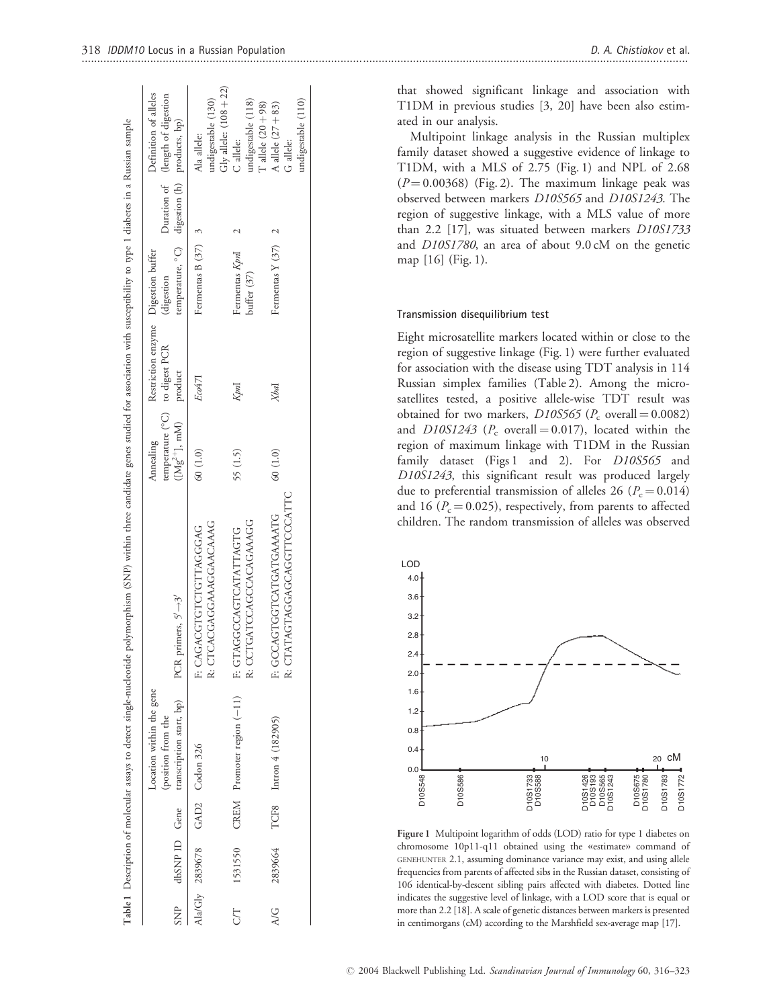|           |         | Location within the gene<br>SNP dbSNP ID Gene transcription start, bp)<br>(position from the | PCR primers, $5' \rightarrow 3'$                                                       | temperature (°C) to digest PCR<br>$([Mg^{2+}], mM)$ product<br>Annealing | Restriction enzyme Digestion buffer | temperature, °C) digestion (h) products, bp)<br>digestion | Definition of alleles<br>Duration of (length of digestion     |
|-----------|---------|----------------------------------------------------------------------------------------------|----------------------------------------------------------------------------------------|--------------------------------------------------------------------------|-------------------------------------|-----------------------------------------------------------|---------------------------------------------------------------|
|           |         | Ala/Gly 2839678 GAD2 Codon 326                                                               | R: CTCACGAGGAAGGAACAAAG<br>F: CAGACCTGTOLAGGGAG                                        | 60 (1.0)                                                                 | Eco471                              | Fermentas B $(37)$ 3                                      | Gly allele: $(108 + 22)$<br>undigestable (130)<br>Ala allele: |
| <b>ST</b> |         |                                                                                              | R: CCTGATCCAGCCACAGAAAGG<br>1531550 CREM Promoter region (-11) F: GTAGGCCAGTCATATTAGTG | 55 (1.5)                                                                 | Kpnl                                | Fermentas KpnI<br>buffer (37)                             | undigestable (118)<br>T allele $(20 + 98)$<br>C allele:       |
| A/G       | 2839664 | TCF8 Intron $4(182905)$                                                                      | R: CTATAGTAGGAGCAGGTTCCCATTC<br>F: GCCAGTGATGATGAAAATG                                 | 60 (1.0)                                                                 | Xbal                                | Fermentas Y $(37)$ 2                                      | undigestable (110)<br>A allele $(27 + 83)$<br>G allele:       |

that showed significant linkage and association with T1DM in previous studies [3, 20] have been also estimated in our analysis.

Multipoint linkage analysis in the Russian multiplex family dataset showed a suggestive evidence of linkage to T1DM, with a MLS of 2.75 (Fig. 1) and NPL of 2.68  $(P = 0.00368)$  (Fig. 2). The maximum linkage peak was observed between markers D10S565 and D10S1243. The region of suggestive linkage, with a MLS value of more than 2.2 [17], was situated between markers D10S1733 and D10S1780, an area of about 9.0 cM on the genetic map [16] (Fig. 1).

#### Transmission disequilibrium test

Eight microsatellite markers located within or close to the region of suggestive linkage (Fig. 1) were further evaluated for association with the disease using TDT analysis in 114 Russian simplex families (Table 2). Among the microsatellites tested, a positive allele-wise TDT result was obtained for two markers,  $D10S565$  ( $P_c$  overall = 0.0082) and  $D10S1243$  ( $P_c$  overall = 0.017), located within the region of maximum linkage with T1DM in the Russian family dataset (Figs 1 and 2). For D10S565 and D10S1243, this significant result was produced largely due to preferential transmission of alleles 26 ( $P_c = 0.014$ ) and 16 ( $P_c = 0.025$ ), respectively, from parents to affected children. The random transmission of alleles was observed



Figure 1 Multipoint logarithm of odds (LOD) ratio for type 1 diabetes on chromosome 10p11-q11 obtained using the «estimate» command of GENEHUNTER 2.1, assuming dominance variance may exist, and using allele frequencies from parents of affected sibs in the Russian dataset, consisting of 106 identical-by-descent sibling pairs affected with diabetes. Dotted line indicates the suggestive level of linkage, with a LOD score that is equal or more than 2.2 [18]. A scale of genetic distances between markers is presented in centimorgans (cM) according to the Marshfield sex-average map [17].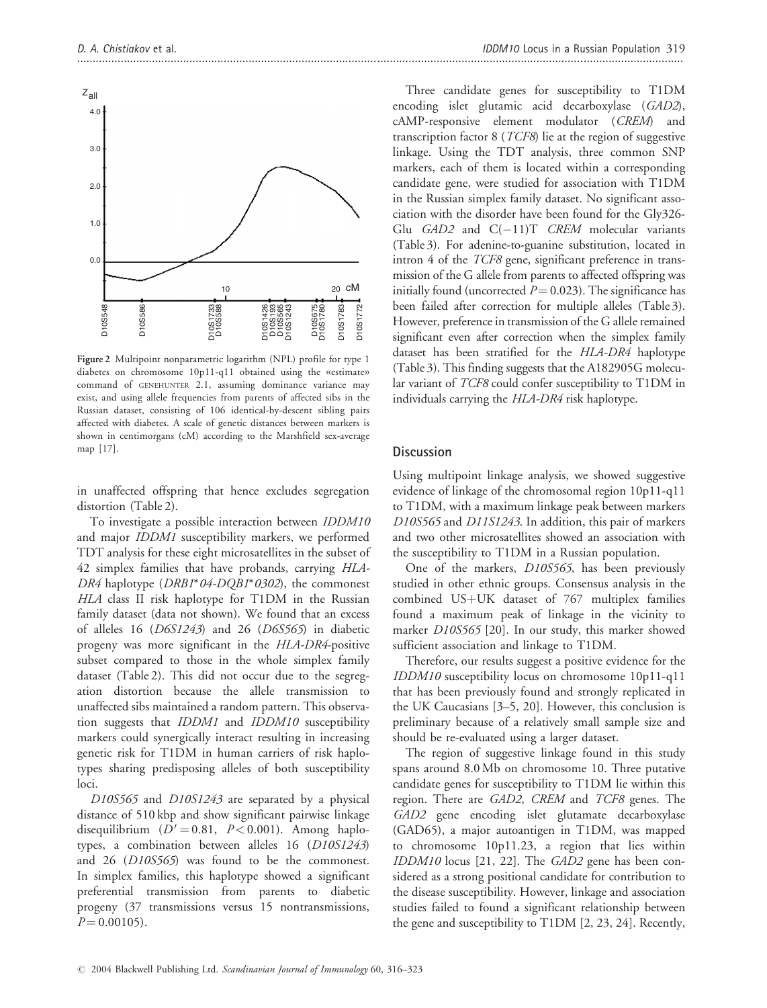

Figure 2 Multipoint nonparametric logarithm (NPL) profile for type 1 diabetes on chromosome 10p11-q11 obtained using the «estimate» command of GENEHUNTER 2.1, assuming dominance variance may exist, and using allele frequencies from parents of affected sibs in the Russian dataset, consisting of 106 identical-by-descent sibling pairs affected with diabetes. A scale of genetic distances between markers is shown in centimorgans (cM) according to the Marshfield sex-average map [17].

in unaffected offspring that hence excludes segregation distortion (Table 2).

To investigate a possible interaction between IDDM10 and major IDDM1 susceptibility markers, we performed TDT analysis for these eight microsatellites in the subset of 42 simplex families that have probands, carrying HLA-DR4 haplotype  $(DRBI^*04-DQBI^*0302)$ , the commonest HLA class II risk haplotype for T1DM in the Russian family dataset (data not shown). We found that an excess of alleles 16 (D6S1243) and 26 (D6S565) in diabetic progeny was more significant in the HLA-DR4-positive subset compared to those in the whole simplex family dataset (Table 2). This did not occur due to the segregation distortion because the allele transmission to unaffected sibs maintained a random pattern. This observation suggests that IDDM1 and IDDM10 susceptibility markers could synergically interact resulting in increasing genetic risk for T1DM in human carriers of risk haplotypes sharing predisposing alleles of both susceptibility loci.

D10S565 and D10S1243 are separated by a physical distance of 510 kbp and show significant pairwise linkage disequilibrium  $(D' = 0.81, P < 0.001)$ . Among haplotypes, a combination between alleles 16 (D10S1243) and 26 (D10S565) was found to be the commonest. In simplex families, this haplotype showed a significant preferential transmission from parents to diabetic progeny (37 transmissions versus 15 nontransmissions,  $P = 0.00105$ .

Three candidate genes for susceptibility to T1DM encoding islet glutamic acid decarboxylase (GAD2), cAMP-responsive element modulator (CREM) and transcription factor  $8$  (*TCF8*) lie at the region of suggestive linkage. Using the TDT analysis, three common SNP markers, each of them is located within a corresponding candidate gene, were studied for association with T1DM in the Russian simplex family dataset. No significant association with the disorder have been found for the Gly326- Glu  $GAD2$  and  $C(-11)T$  CREM molecular variants (Table 3). For adenine-to-guanine substitution, located in intron 4 of the TCF8 gene, significant preference in transmission of the G allele from parents to affected offspring was initially found (uncorrected  $P = 0.023$ ). The significance has been failed after correction for multiple alleles (Table 3). However, preference in transmission of the G allele remained significant even after correction when the simplex family dataset has been stratified for the HLA-DR4 haplotype (Table 3). This finding suggests that the A182905G molecular variant of TCF8 could confer susceptibility to T1DM in individuals carrying the HLA-DR4 risk haplotype.

#### **Discussion**

Using multipoint linkage analysis, we showed suggestive evidence of linkage of the chromosomal region 10p11-q11 to T1DM, with a maximum linkage peak between markers D10S565 and D11S1243. In addition, this pair of markers and two other microsatellites showed an association with the susceptibility to T1DM in a Russian population.

One of the markers, D10S565, has been previously studied in other ethnic groups. Consensus analysis in the combined  $US+UK$  dataset of 767 multiplex families found a maximum peak of linkage in the vicinity to marker D10S565 [20]. In our study, this marker showed sufficient association and linkage to T1DM.

Therefore, our results suggest a positive evidence for the IDDM10 susceptibility locus on chromosome 10p11-q11 that has been previously found and strongly replicated in the UK Caucasians [3–5, 20]. However, this conclusion is preliminary because of a relatively small sample size and should be re-evaluated using a larger dataset.

The region of suggestive linkage found in this study spans around 8.0 Mb on chromosome 10. Three putative candidate genes for susceptibility to T1DM lie within this region. There are GAD2, CREM and TCF8 genes. The GAD2 gene encoding islet glutamate decarboxylase (GAD65), a major autoantigen in T1DM, was mapped to chromosome 10p11.23, a region that lies within IDDM10 locus [21, 22]. The GAD2 gene has been considered as a strong positional candidate for contribution to the disease susceptibility. However, linkage and association studies failed to found a significant relationship between the gene and susceptibility to T1DM [2, 23, 24]. Recently,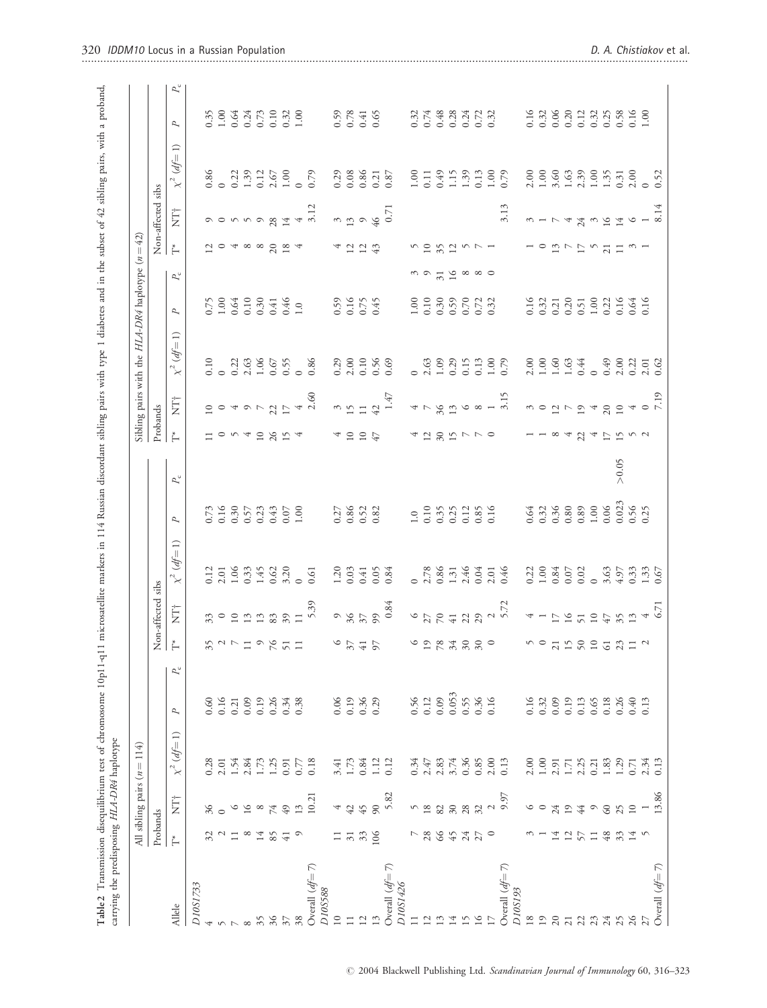|                                |                            | All sibling pairs $(n)$ | 114<br>$\vert\vert$        |                |             |                                                 |                                           |                                                          |                                                                                  |             |                     |                                                                                                                                                                                                                                                                            | Sibling pairs with the $HLA-DR4$ haplotype ( $n=42$ )                                                                                                                                                                                                                                                         |                                                                                                                                                                                                                                                                                                               |                                                       |                     |                                                                                                                                                                                                                                                                                                                             |                                      |                                                          |
|--------------------------------|----------------------------|-------------------------|----------------------------|----------------|-------------|-------------------------------------------------|-------------------------------------------|----------------------------------------------------------|----------------------------------------------------------------------------------|-------------|---------------------|----------------------------------------------------------------------------------------------------------------------------------------------------------------------------------------------------------------------------------------------------------------------------|---------------------------------------------------------------------------------------------------------------------------------------------------------------------------------------------------------------------------------------------------------------------------------------------------------------|---------------------------------------------------------------------------------------------------------------------------------------------------------------------------------------------------------------------------------------------------------------------------------------------------------------|-------------------------------------------------------|---------------------|-----------------------------------------------------------------------------------------------------------------------------------------------------------------------------------------------------------------------------------------------------------------------------------------------------------------------------|--------------------------------------|----------------------------------------------------------|
|                                | Probands                   |                         |                            |                |             |                                                 | Non-affected sibs                         |                                                          |                                                                                  |             | Probands            |                                                                                                                                                                                                                                                                            |                                                                                                                                                                                                                                                                                                               |                                                                                                                                                                                                                                                                                                               |                                                       |                     | Non-affected sibs<br>$T^*$ NT <sup>+</sup> $\sim^2$                                                                                                                                                                                                                                                                         |                                      |                                                          |
| Allele                         | $\rm \stackrel{*}{\vdash}$ | İ                       | $df=1$<br>$\chi^2$         | P              | $P_{\rm c}$ |                                                 | Ë                                         | $df=1$<br>$x^2$                                          | $\sim$                                                                           | $P_{\rm c}$ | $\overline{\Gamma}$ | Ë                                                                                                                                                                                                                                                                          | $\chi^2$ (df=1)                                                                                                                                                                                                                                                                                               | $\sim$                                                                                                                                                                                                                                                                                                        | $P_{\rm c}$                                           |                     | Ė                                                                                                                                                                                                                                                                                                                           | $\chi^2$ (df=1)                      | $P_c$<br>$\sim$                                          |
| D10S1733                       |                            |                         |                            |                |             |                                                 |                                           |                                                          |                                                                                  |             |                     |                                                                                                                                                                                                                                                                            |                                                                                                                                                                                                                                                                                                               |                                                                                                                                                                                                                                                                                                               |                                                       |                     |                                                                                                                                                                                                                                                                                                                             |                                      |                                                          |
| 4                              | 32                         | 36                      | 0.28                       | 0.60           |             |                                                 |                                           |                                                          |                                                                                  |             |                     |                                                                                                                                                                                                                                                                            |                                                                                                                                                                                                                                                                                                               |                                                                                                                                                                                                                                                                                                               |                                                       |                     |                                                                                                                                                                                                                                                                                                                             |                                      |                                                          |
| $\sim$ $\sim$                  | $\mathcal{L}$              |                         | 2.01                       | 0.16           |             | 3277298777                                      |                                           | $0.12$<br>$0.33$<br>$0.33$<br>$0.42$<br>$0.32$<br>$0.33$ | $0.738$<br>$0.557$<br>$0.5349$<br>$0.50$<br>$0.50$<br>$0.50$<br>$0.50$<br>$0.50$ |             |                     | 0040527                                                                                                                                                                                                                                                                    | $0.3336555$<br>$0.33655$<br>$0.555$<br>$0.86$<br>$0.86$                                                                                                                                                                                                                                                       |                                                                                                                                                                                                                                                                                                               |                                                       | 10488024            | $\begin{array}{c} 0 & 0 & 0 & 0 & 0 \\ 0 & 0 & 0 & 0 & 0 \\ 0 & 0 & 0 & 0 & 0 \\ 0 & 0 & 0 & 0 & 0 \\ 0 & 0 & 0 & 0 & 0 \\ 0 & 0 & 0 & 0 & 0 \\ 0 & 0 & 0 & 0 & 0 \\ 0 & 0 & 0 & 0 & 0 \\ 0 & 0 & 0 & 0 & 0 \\ 0 & 0 & 0 & 0 & 0 \\ 0 & 0 & 0 & 0 & 0 \\ 0 & 0 & 0 & 0 & 0 & 0 \\ 0 & 0 & 0 & 0 & 0 & 0 \\ 0 & 0 & 0 & 0 &$ | $0.86$<br>$0.22$<br>$1.39$           |                                                          |
|                                | $\overline{11}$            | $\circ$                 |                            | 0.21           |             |                                                 |                                           |                                                          |                                                                                  |             |                     |                                                                                                                                                                                                                                                                            |                                                                                                                                                                                                                                                                                                               |                                                                                                                                                                                                                                                                                                               |                                                       |                     |                                                                                                                                                                                                                                                                                                                             |                                      |                                                          |
| ${}^{\circ}$                   | $\infty$                   | 16                      | $1.54$<br>$2.84$           | 0.09           |             |                                                 |                                           |                                                          |                                                                                  |             |                     |                                                                                                                                                                                                                                                                            |                                                                                                                                                                                                                                                                                                               |                                                                                                                                                                                                                                                                                                               |                                                       |                     |                                                                                                                                                                                                                                                                                                                             |                                      |                                                          |
| $35$                           | 14                         | $\infty$                | 1.73                       | 0.19           |             |                                                 |                                           |                                                          |                                                                                  |             | 0.49804             |                                                                                                                                                                                                                                                                            |                                                                                                                                                                                                                                                                                                               |                                                                                                                                                                                                                                                                                                               |                                                       |                     |                                                                                                                                                                                                                                                                                                                             |                                      |                                                          |
| 36                             | 85                         | 74                      | $1.25$<br>0.91             | 0.26           |             |                                                 |                                           |                                                          |                                                                                  |             |                     |                                                                                                                                                                                                                                                                            |                                                                                                                                                                                                                                                                                                               |                                                                                                                                                                                                                                                                                                               |                                                       |                     |                                                                                                                                                                                                                                                                                                                             |                                      |                                                          |
| $\mathfrak{z}$                 | $\overline{41}$            | 49                      |                            | 0.34           |             |                                                 |                                           |                                                          |                                                                                  |             |                     |                                                                                                                                                                                                                                                                            |                                                                                                                                                                                                                                                                                                               |                                                                                                                                                                                                                                                                                                               |                                                       |                     |                                                                                                                                                                                                                                                                                                                             | $0.12$<br>$2.67$<br>$1.00$<br>$0.79$ |                                                          |
| 38                             | $\circ$                    | 13                      | 0.77                       | 0.38           |             |                                                 |                                           |                                                          |                                                                                  |             |                     |                                                                                                                                                                                                                                                                            |                                                                                                                                                                                                                                                                                                               |                                                                                                                                                                                                                                                                                                               |                                                       |                     | $\frac{4}{3.12}$                                                                                                                                                                                                                                                                                                            |                                      |                                                          |
| Overall $(df=7)$               |                            | 10.21                   | 0.18                       |                |             |                                                 | $339$<br>$359$<br>$359$<br>$359$<br>$359$ | 0.61                                                     |                                                                                  |             |                     | $4 \over 2.60$                                                                                                                                                                                                                                                             |                                                                                                                                                                                                                                                                                                               |                                                                                                                                                                                                                                                                                                               |                                                       |                     |                                                                                                                                                                                                                                                                                                                             |                                      |                                                          |
| D10S588                        |                            |                         |                            |                |             |                                                 |                                           |                                                          |                                                                                  |             |                     |                                                                                                                                                                                                                                                                            |                                                                                                                                                                                                                                                                                                               |                                                                                                                                                                                                                                                                                                               |                                                       |                     |                                                                                                                                                                                                                                                                                                                             |                                      |                                                          |
| $10$                           | $\Box$                     | 4                       | 3.41                       | 0.06           |             | $\begin{array}{c} 6 \\ 2 \\ 4 \\ 6 \end{array}$ |                                           | $1.20$<br>0.03<br>0.05<br>0.84                           | $0.27$<br>$0.86$<br>$0.52$<br>$0.82$                                             |             |                     |                                                                                                                                                                                                                                                                            | $0.29$<br>$2.00$<br>$0.10$<br>$0.69$<br>$0.69$                                                                                                                                                                                                                                                                | 0.59<br>0.16<br>0.75<br>0.45                                                                                                                                                                                                                                                                                  |                                                       | 4224                |                                                                                                                                                                                                                                                                                                                             | $0.29$<br>$0.08$                     | 0.59<br>0.78<br>0.65                                     |
| $\Box$                         | $\approx$                  | 42                      | 1.73                       | 0.19           |             |                                                 |                                           |                                                          |                                                                                  |             |                     |                                                                                                                                                                                                                                                                            |                                                                                                                                                                                                                                                                                                               |                                                                                                                                                                                                                                                                                                               |                                                       |                     |                                                                                                                                                                                                                                                                                                                             |                                      |                                                          |
| 12                             | 33                         | 45                      | 0.84                       | $0.36$<br>0.29 |             |                                                 |                                           |                                                          |                                                                                  |             | $10$<br>$10$        |                                                                                                                                                                                                                                                                            |                                                                                                                                                                                                                                                                                                               |                                                                                                                                                                                                                                                                                                               |                                                       |                     |                                                                                                                                                                                                                                                                                                                             | 0.86                                 |                                                          |
| 13                             | 106                        | 90                      | 1.12                       |                |             |                                                 |                                           |                                                          |                                                                                  |             |                     |                                                                                                                                                                                                                                                                            |                                                                                                                                                                                                                                                                                                               |                                                                                                                                                                                                                                                                                                               |                                                       |                     |                                                                                                                                                                                                                                                                                                                             | 0.21                                 |                                                          |
| Overall $df = 7$ )<br>D10S1426 |                            | 5.82                    | 0.12                       |                |             |                                                 | $984$<br>$37$<br>$984$<br>$0.84$          |                                                          |                                                                                  |             |                     | $\begin{array}{c} 3 \\ 15 \\ 42 \\ 1.47 \end{array}$                                                                                                                                                                                                                       |                                                                                                                                                                                                                                                                                                               |                                                                                                                                                                                                                                                                                                               |                                                       |                     | $13946$<br>46 0.71                                                                                                                                                                                                                                                                                                          | 0.87                                 |                                                          |
| $\Box$                         | $\overline{ }$             |                         | 0.34                       | 0.56           |             |                                                 |                                           |                                                          |                                                                                  |             |                     |                                                                                                                                                                                                                                                                            |                                                                                                                                                                                                                                                                                                               |                                                                                                                                                                                                                                                                                                               |                                                       |                     |                                                                                                                                                                                                                                                                                                                             | 1.00                                 |                                                          |
| 12                             | $28\,$                     | $\frac{5}{18}$          |                            | 0.12           |             |                                                 |                                           |                                                          |                                                                                  |             |                     |                                                                                                                                                                                                                                                                            |                                                                                                                                                                                                                                                                                                               |                                                                                                                                                                                                                                                                                                               |                                                       |                     |                                                                                                                                                                                                                                                                                                                             | 0.11                                 |                                                          |
| 13                             | 66                         | 82                      | $2.47$<br>$2.83$           | 0.09           |             |                                                 |                                           |                                                          |                                                                                  |             |                     |                                                                                                                                                                                                                                                                            |                                                                                                                                                                                                                                                                                                               |                                                                                                                                                                                                                                                                                                               |                                                       |                     |                                                                                                                                                                                                                                                                                                                             | 0.49                                 |                                                          |
| 14                             | 45                         | $30\,$                  |                            | 0.053          |             |                                                 |                                           |                                                          |                                                                                  |             |                     |                                                                                                                                                                                                                                                                            |                                                                                                                                                                                                                                                                                                               |                                                                                                                                                                                                                                                                                                               |                                                       |                     |                                                                                                                                                                                                                                                                                                                             | 1.15                                 |                                                          |
| 15                             | 24                         | $28\,$                  | $3.74$<br>0.36             | 0.55           |             |                                                 |                                           |                                                          |                                                                                  |             |                     |                                                                                                                                                                                                                                                                            |                                                                                                                                                                                                                                                                                                               |                                                                                                                                                                                                                                                                                                               |                                                       |                     |                                                                                                                                                                                                                                                                                                                             | 1.39                                 |                                                          |
| 16                             | 27                         | 32                      | 0.85                       | 0.36           |             | $6988880$                                       |                                           | $0.78$<br>$0.86$<br>$1.31$<br>$0.46$<br>$0.04$           | $1.0$<br>$0.35$<br>$0.35$<br>$0.35$<br>$0.35$<br>$0.5$<br>$0.5$                  |             | $4787r8$            |                                                                                                                                                                                                                                                                            |                                                                                                                                                                                                                                                                                                               | $1.00$<br>0.10 0.59<br>0.59 0.52<br>0.53                                                                                                                                                                                                                                                                      | $\begin{array}{c} 0.95333 \\ 0.953333 \\ \end{array}$ | $58257 - 1$         |                                                                                                                                                                                                                                                                                                                             | 0.13                                 | $0.32$<br>$0.48$<br>$0.24$<br>$0.52$<br>$0.52$<br>$0.52$ |
| 17                             | $\circ$                    | $\mathcal{L}$           | 2.00                       | 0.16           |             |                                                 |                                           |                                                          |                                                                                  |             |                     |                                                                                                                                                                                                                                                                            |                                                                                                                                                                                                                                                                                                               |                                                                                                                                                                                                                                                                                                               |                                                       |                     |                                                                                                                                                                                                                                                                                                                             |                                      |                                                          |
| Overall $df=7$ )<br>D10S193    |                            | 9.97                    | 0.13                       |                |             |                                                 | 67242227                                  | $2.01$<br>0.46                                           |                                                                                  |             |                     | $478000 - 15$                                                                                                                                                                                                                                                              |                                                                                                                                                                                                                                                                                                               |                                                                                                                                                                                                                                                                                                               |                                                       |                     | 3.13                                                                                                                                                                                                                                                                                                                        | 1.00                                 |                                                          |
| $1\,8$                         | $\tilde{\phantom{0}}$      | $\circ$                 | 2.00                       | 0.16           |             |                                                 |                                           |                                                          |                                                                                  |             |                     |                                                                                                                                                                                                                                                                            |                                                                                                                                                                                                                                                                                                               |                                                                                                                                                                                                                                                                                                               |                                                       |                     |                                                                                                                                                                                                                                                                                                                             |                                      |                                                          |
| 19                             |                            | $\circ$                 |                            | 0.32           |             | no gho gha gha a                                | $4 - 52724$                               | $0.22$<br>$1.00$<br>$0.84$                               | $\begin{array}{c} 0.64 \\ 0.32 \\ 0.36 \\ 0.80 \\ 0.89 \\ 1.00 \end{array}$      |             |                     | $\begin{array}{c} 0.01 & 0.01 & 0.01 & 0.01 & 0.01 & 0.01 & 0.01 & 0.01 & 0.01 & 0.01 & 0.01 & 0.01 & 0.01 & 0.01 & 0.01 & 0.01 & 0.01 & 0.01 & 0.01 & 0.01 & 0.01 & 0.01 & 0.01 & 0.01 & 0.01 & 0.01 & 0.01 & 0.01 & 0.01 & 0.01 & 0.01 & 0.01 & 0.01 & 0.01 & 0.01 & 0.$ | $\begin{array}{c} 2.00 \\ 1.00 \\ 1.00 \\ 1.00 \\ 0.44 \\ 0.00 \\ 0.00 \\ 0.01 \\ 0.02 \\ 0.01 \\ 0.02 \\ 0.03 \\ 0.03 \\ 0.03 \\ 0.03 \\ 0.03 \\ 0.03 \\ 0.03 \\ 0.03 \\ 0.03 \\ 0.03 \\ 0.03 \\ 0.03 \\ 0.03 \\ 0.03 \\ 0.03 \\ 0.03 \\ 0.03 \\ 0.03 \\ 0.03 \\ 0.03 \\ 0.03 \\ 0.03 \\ 0.03 \\ 0.03 \\ 0.$ | $\begin{array}{c} 16 \\ 0.31 \\ 0.21 \\ 0.53 \\ 0.55 \\ 0.50 \\ 0.31 \\ 0.50 \\ 0.50 \\ 0.50 \\ 0.50 \\ 0.50 \\ 0.50 \\ 0.50 \\ 0.50 \\ 0.50 \\ 0.50 \\ 0.50 \\ 0.50 \\ 0.50 \\ 0.50 \\ 0.50 \\ 0.50 \\ 0.50 \\ 0.50 \\ 0.50 \\ 0.50 \\ 0.50 \\ 0.50 \\ 0.50 \\ 0.50 \\ 0.50 \\ 0.50 \\ 0.50 \\ 0.50 \\ 0.50$ |                                                       | 10 12 7 7 7 1 1 2 1 | $\omega$ $ \omega$                                                                                                                                                                                                                                                                                                          |                                      |                                                          |
| 20                             | 14                         | 24                      |                            | 0.09           |             |                                                 |                                           |                                                          |                                                                                  |             |                     |                                                                                                                                                                                                                                                                            |                                                                                                                                                                                                                                                                                                               |                                                                                                                                                                                                                                                                                                               |                                                       |                     |                                                                                                                                                                                                                                                                                                                             |                                      |                                                          |
| $21\,$                         | 12                         | 19                      | $1.00$<br>$2.91$<br>$1.71$ | 0.19           |             |                                                 |                                           | $0.02$<br>$0.02$<br>$0.63$<br>$0.33$<br>$0.67$<br>$0.67$ |                                                                                  |             | $\overline{4}$      |                                                                                                                                                                                                                                                                            |                                                                                                                                                                                                                                                                                                               |                                                                                                                                                                                                                                                                                                               |                                                       |                     | $\overline{4}$                                                                                                                                                                                                                                                                                                              |                                      |                                                          |
| 22                             | 57                         | 44                      | 2.25                       | 0.13           |             |                                                 |                                           |                                                          |                                                                                  |             |                     |                                                                                                                                                                                                                                                                            |                                                                                                                                                                                                                                                                                                               |                                                                                                                                                                                                                                                                                                               |                                                       |                     |                                                                                                                                                                                                                                                                                                                             |                                      |                                                          |
| 23                             | $\Box$                     | $\circ$                 | 0.21                       | 0.65           |             |                                                 |                                           |                                                          |                                                                                  |             | $23 - 52$           |                                                                                                                                                                                                                                                                            |                                                                                                                                                                                                                                                                                                               |                                                                                                                                                                                                                                                                                                               |                                                       |                     | $24 0 14$<br>$-1 0 14$                                                                                                                                                                                                                                                                                                      |                                      |                                                          |
| 24                             | 48                         | 60                      | 1.83                       | 0.18           |             |                                                 |                                           |                                                          |                                                                                  |             |                     |                                                                                                                                                                                                                                                                            |                                                                                                                                                                                                                                                                                                               |                                                                                                                                                                                                                                                                                                               |                                                       |                     |                                                                                                                                                                                                                                                                                                                             |                                      |                                                          |
| 25                             | 33                         | 25                      | 1.29                       | 0.26           |             |                                                 |                                           |                                                          |                                                                                  | > 0.05      |                     |                                                                                                                                                                                                                                                                            |                                                                                                                                                                                                                                                                                                               |                                                                                                                                                                                                                                                                                                               |                                                       |                     |                                                                                                                                                                                                                                                                                                                             |                                      |                                                          |
| 26                             | 14                         | $\overline{10}$         | 0.71                       | $0.40$         |             |                                                 | $35$<br>$13$ 4 5.71<br>$6.71$             |                                                          | $0.06$<br>$0.023$<br>$0.56$<br>$0.25$                                            |             |                     |                                                                                                                                                                                                                                                                            |                                                                                                                                                                                                                                                                                                               |                                                                                                                                                                                                                                                                                                               |                                                       |                     |                                                                                                                                                                                                                                                                                                                             |                                      |                                                          |
| 27                             | $\sim$                     |                         | 2.34                       | 0.13           |             |                                                 |                                           |                                                          |                                                                                  |             |                     |                                                                                                                                                                                                                                                                            | $2.01$<br>$0.62$                                                                                                                                                                                                                                                                                              |                                                                                                                                                                                                                                                                                                               |                                                       |                     |                                                                                                                                                                                                                                                                                                                             |                                      |                                                          |
| Overall $df=7$ )               |                            | 13.86                   | 0.13                       |                |             |                                                 |                                           |                                                          |                                                                                  |             |                     |                                                                                                                                                                                                                                                                            |                                                                                                                                                                                                                                                                                                               |                                                                                                                                                                                                                                                                                                               |                                                       |                     |                                                                                                                                                                                                                                                                                                                             |                                      |                                                          |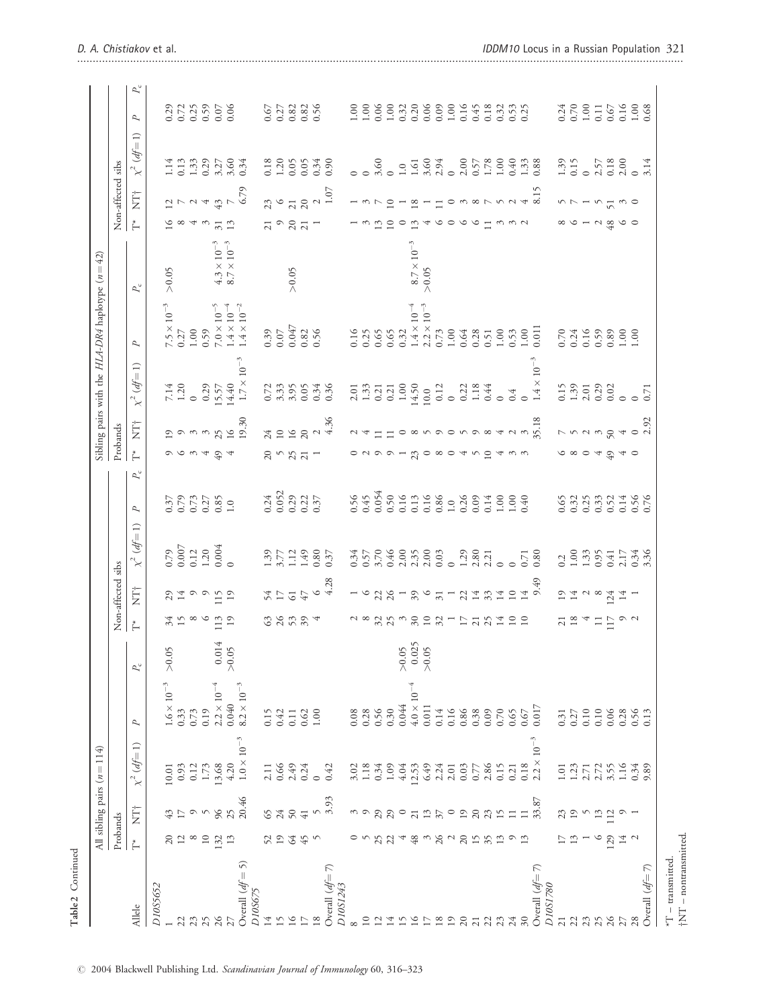|                               |               |                 | All sibling pairs $(n = 114)$                       |                                                     |                             |                                              |                   |                                                                       |                            |                                                     |                          | Sibling pairs with the $HLA-DR4$ haplotype ( $n=42$ )           |                                                                              |                                                                      |                       |                           |                                                                                                                                                                                                                                                                                                               |                                                                                              |
|-------------------------------|---------------|-----------------|-----------------------------------------------------|-----------------------------------------------------|-----------------------------|----------------------------------------------|-------------------|-----------------------------------------------------------------------|----------------------------|-----------------------------------------------------|--------------------------|-----------------------------------------------------------------|------------------------------------------------------------------------------|----------------------------------------------------------------------|-----------------------|---------------------------|---------------------------------------------------------------------------------------------------------------------------------------------------------------------------------------------------------------------------------------------------------------------------------------------------------------|----------------------------------------------------------------------------------------------|
|                               | Probands      |                 |                                                     |                                                     |                             |                                              | Non-affected sibs |                                                                       |                            |                                                     | Probands                 |                                                                 |                                                                              |                                                                      |                       | Non-affected sibs         |                                                                                                                                                                                                                                                                                                               |                                                                                              |
| Allele                        | ť             | È               | $\chi^2$ (df=1)                                     | P                                                   | $P_{\rm c}$                 | $\stackrel{*}{\leftarrow}$                   | È                 | $\chi^2$ (df= 1)                                                      | P                          | $\stackrel{*}{\vdash}$<br>$P_{\rm c}$               | È                        | $\chi^2 (df=1)$                                                 | P                                                                            | $P_{\rm c}$                                                          | Ě                     | İTT<br>Z                  | $\chi^2$ (df=1)                                                                                                                                                                                                                                                                                               | $P_c$<br>$\overline{a}$                                                                      |
| D10S5652                      |               |                 |                                                     |                                                     |                             |                                              |                   |                                                                       |                            |                                                     |                          |                                                                 |                                                                              |                                                                      |                       |                           |                                                                                                                                                                                                                                                                                                               |                                                                                              |
|                               | $20\,$        | 43              | $\begin{array}{c} 10.01 \\ 0.93 \end{array}$        | $1.6\times10^{-3}$ 0.33                             | > 0.05                      | 34 <sup>0</sup>                              | $29 + 4$          | $\begin{array}{c} 0.79 \\ 0.007 \\ 0.12 \\ 1.20 \\ 0.004 \end{array}$ | $0.37$<br>0.79             |                                                     | $^{19}$                  | $7.14$<br>1.20                                                  | $7.5 \times 10^{-3}$<br>0.27                                                 | > 0.05                                                               | $\frac{6}{9}$         | $\frac{12}{7}$            | $1.14$<br>0.13                                                                                                                                                                                                                                                                                                | $0.29$<br>$0.72$                                                                             |
| 22                            | 12            |                 |                                                     |                                                     |                             |                                              |                   |                                                                       |                            | りんこう                                                | $\circ$                  |                                                                 |                                                                              |                                                                      |                       |                           |                                                                                                                                                                                                                                                                                                               |                                                                                              |
| 23                            | $\infty$      | $\circ$         | 0.12                                                | 0.73                                                |                             | $\infty$                                     |                   |                                                                       |                            |                                                     |                          | $\circ$                                                         | $1.00$<br>0.59                                                               |                                                                      | 4                     | $\sim$ 4                  |                                                                                                                                                                                                                                                                                                               |                                                                                              |
| 25                            | $10$          | $\sim$          | $1.73\,$                                            | 0.19                                                |                             | $\circ$                                      | $\circ$ $\circ$   |                                                                       | $0.73$<br>$0.27$           |                                                     | $\omega$ $\omega$        | 0.29                                                            |                                                                              |                                                                      | $\tilde{\varepsilon}$ |                           | $1.33$<br>0.29                                                                                                                                                                                                                                                                                                | $0.59$<br>$0.59$<br>$0.06$                                                                   |
| 26                            | 132           | $96$            | 13.68                                               | $2.2 \times 10^{-4}$                                |                             | 113                                          | 115               |                                                                       | $0.85$<br>1.0              | $49$                                                |                          | 15.57                                                           | $7.0\times10^{-5}$                                                           | $\begin{array}{l} 4.3\times 10^{-3}\\ 8.7\times 10^{-3} \end{array}$ | $\sqrt{31}$           | $\frac{43}{7}$            |                                                                                                                                                                                                                                                                                                               |                                                                                              |
|                               | 13            | 25              | 4.20                                                | 0.040                                               | $0.014$<br>>0.05            | 19                                           | $19$              |                                                                       |                            |                                                     | $25 \n16$                | 14.40                                                           |                                                                              |                                                                      | 13                    |                           |                                                                                                                                                                                                                                                                                                               |                                                                                              |
| Overall $df = 5$ )<br>D10S675 |               | 20.46           | $1.0\times10^{-3}$                                  | $8.2\times10^{-3}$                                  |                             |                                              |                   |                                                                       |                            |                                                     | 19.30                    | $1.7\times10^{-3}$                                              | $1.4\times10^{-4}$ $1.4\times10^{-2}$                                        |                                                                      |                       | 6.79                      | $3.27$<br>$3.60$<br>$0.34$                                                                                                                                                                                                                                                                                    |                                                                                              |
| 14                            |               |                 |                                                     | 0.15                                                |                             |                                              |                   |                                                                       | 0.24                       |                                                     |                          |                                                                 |                                                                              |                                                                      |                       | 23                        |                                                                                                                                                                                                                                                                                                               |                                                                                              |
| 15                            | 52<br>19      |                 | $2.11$<br>$0.66$                                    | 0.42                                                |                             |                                              | 54                |                                                                       | 0.052                      |                                                     | $24$<br>10               | $0.72$<br>3.33                                                  | $0.39$<br>0.07                                                               |                                                                      |                       | $\circ$                   | $0.18$<br>1.20                                                                                                                                                                                                                                                                                                |                                                                                              |
| 16                            | $64\,$        | 3324            | $2.49$<br>0.24<br>0.42                              |                                                     |                             | 3 3 3 3 4                                    |                   | $1.39$<br>$3.77$<br>$1.49$<br>$0.37$<br>$0.37$                        | 0.29                       | 20727                                               |                          |                                                                 |                                                                              | > 0.05                                                               | 7921                  |                           |                                                                                                                                                                                                                                                                                                               | 678886                                                                                       |
| $\Gamma$                      | 45            |                 |                                                     | $\begin{array}{c} 0.11 \\ 0.62 \\ 1.00 \end{array}$ |                             |                                              | 647               |                                                                       | $0.22$<br>$0.37$           |                                                     | $\frac{16}{20}$ $\alpha$ | $3.56$<br>$0.348$<br>$0.36$                                     | $\begin{array}{c} 0.047 \\ 0.82 \\ 0.56 \end{array}$                         |                                                                      |                       | $\frac{1}{20}$            | $0.05$<br>$0.34$<br>$0.34$                                                                                                                                                                                                                                                                                    |                                                                                              |
| 18                            |               | $\sqrt{ }$      |                                                     |                                                     |                             |                                              | $\circ$           |                                                                       |                            |                                                     |                          |                                                                 |                                                                              |                                                                      |                       | $\sim$                    |                                                                                                                                                                                                                                                                                                               |                                                                                              |
| Overall $df = 7$ )            |               | 3.93            |                                                     |                                                     |                             |                                              | 4.28              |                                                                       |                            |                                                     |                          |                                                                 |                                                                              |                                                                      |                       | $1.07\,$                  |                                                                                                                                                                                                                                                                                                               |                                                                                              |
| D10S1243                      |               |                 |                                                     |                                                     |                             |                                              |                   |                                                                       |                            |                                                     |                          |                                                                 |                                                                              |                                                                      |                       |                           |                                                                                                                                                                                                                                                                                                               |                                                                                              |
|                               |               |                 |                                                     | 0.08                                                |                             |                                              |                   |                                                                       | $0.56$<br>0.45             |                                                     |                          |                                                                 | 0.16                                                                         |                                                                      |                       |                           |                                                                                                                                                                                                                                                                                                               |                                                                                              |
| $\overline{10}$               |               |                 |                                                     | 0.28                                                |                             |                                              | $\circ$           |                                                                       |                            |                                                     |                          |                                                                 |                                                                              |                                                                      |                       |                           |                                                                                                                                                                                                                                                                                                               |                                                                                              |
| $\overline{12}$               | 25            | $29\,$          | $3.02$<br>$1.18$<br>$0.34$<br>$1.09$                | 0.56                                                |                             | $\frac{8}{25}$                               | 228               |                                                                       | 0.054                      |                                                     |                          | $\begin{array}{c} 2.01 \\ 1.33 \\ 0.21 \end{array}$             | $0.25$<br>0.65                                                               |                                                                      | 13                    |                           | $\circ$ $\frac{6}{10}$                                                                                                                                                                                                                                                                                        |                                                                                              |
| 14                            | 22            | 29              |                                                     | 0.30                                                |                             |                                              |                   |                                                                       | 0.50                       | $\begin{array}{c} \n 0 \\  0 \\  0 \\  \end{array}$ |                          |                                                                 |                                                                              |                                                                      | 10                    | $\overline{10}$           |                                                                                                                                                                                                                                                                                                               |                                                                                              |
| 15                            |               | $\circ$         | $4.04$                                              | 0.044                                               |                             |                                              |                   |                                                                       | 0.16                       |                                                     | $\circ$                  |                                                                 | 0.32                                                                         |                                                                      |                       |                           |                                                                                                                                                                                                                                                                                                               |                                                                                              |
| 16                            | 48            | $\overline{21}$ | 12.53                                               | $4.0\times10^{-4}$                                  | $>0.05$<br>0.025<br>$>0.05$ | $\begin{array}{c}\n0 \\ 0 \\ 0\n\end{array}$ | 39                |                                                                       | $0.13\,$                   |                                                     | $\infty$                 |                                                                 | $1.4 \times 10^{-4}$<br>$2.2 \times 10^{-3}$<br>0.73                         | $8.7 \times 10^{-3}$                                                 | 13                    | $\overline{8}$            | $1.0$<br>$1.61$<br>$3.60$<br>$2.94$                                                                                                                                                                                                                                                                           |                                                                                              |
| 17                            | $\omega$      | $\frac{3}{2}$   | 6.49                                                | $0.011\,$                                           |                             |                                              | $\circ$           |                                                                       | 0.16                       |                                                     |                          |                                                                 |                                                                              | $> 0.05$                                                             | 4                     |                           |                                                                                                                                                                                                                                                                                                               |                                                                                              |
| $18\,$                        | $26\,$        |                 | 2.24                                                | 0.14                                                |                             |                                              | $\overline{31}$   |                                                                       | 0.86                       |                                                     | $\circ$                  | $\begin{array}{c} 1.00 \\ 14.50 \\ 10.0 \\ 0.12 \\ \end{array}$ |                                                                              |                                                                      | $\circ$               | $\Box$                    |                                                                                                                                                                                                                                                                                                               |                                                                                              |
| 19                            | $\sim$        | $\circ$         | $2.01$                                              | 0.16                                                |                             |                                              |                   | $\overline{0}$                                                        | $1.0\,$                    |                                                     |                          |                                                                 | $1.00$<br>0.64                                                               |                                                                      | $\circ$               | $\circ$                   | $\circ$                                                                                                                                                                                                                                                                                                       |                                                                                              |
| 20                            | $20\,$        | $\overline{19}$ | 0.03                                                | 0.86                                                |                             | $-5784$                                      | $\mathfrak{L}$    | $1.29$<br>$2.80$<br>$2.21$                                            | 0.26                       | 2000402                                             |                          | 0.22                                                            |                                                                              |                                                                      | $\circ$               | $m \propto r \sim \omega$ | $2.00$<br>0.578<br>1.78<br>1.000<br>1.33<br>0.88                                                                                                                                                                                                                                                              |                                                                                              |
| $\overline{21}$               | 15            | $20\,$          | 0.77                                                | 0.38                                                |                             |                                              | $\overline{14}$   |                                                                       | 0.09                       |                                                     | $\circ$                  | 1.18                                                            | 0.28                                                                         |                                                                      | $\circ$               |                           |                                                                                                                                                                                                                                                                                                               |                                                                                              |
| 22                            | 35            | 23              | $2.86$<br>0.15                                      | 0.09                                                |                             |                                              | 33                |                                                                       | 0.14                       |                                                     | $\infty$                 | 0.44                                                            | $\begin{array}{c} 0.51 \\ 1.00 \\ 0.53 \\ 1.00 \\ 1.00 \\ 1.011 \end{array}$ |                                                                      | $\Box$                |                           |                                                                                                                                                                                                                                                                                                               |                                                                                              |
| 23                            | 13            | 15              |                                                     | 0.70                                                |                             |                                              | 14                | $\circ$                                                               |                            | $\overline{4}$                                      |                          | $\circ$                                                         |                                                                              |                                                                      |                       |                           |                                                                                                                                                                                                                                                                                                               |                                                                                              |
| 24                            | $\circ$       | $\Xi$           | $0.21$<br>0.18<br>2.2 × 10 <sup>-3</sup>            | $0.65$ $0.67$                                       |                             | $\overline{10}$                              | 10                | $\circ$                                                               | $1.00$<br>$1.00$<br>$0.40$ | $\omega$ $\omega$                                   |                          | 0.4                                                             |                                                                              |                                                                      |                       |                           |                                                                                                                                                                                                                                                                                                               |                                                                                              |
| $\overline{30}$               | 13            | $\Box$          |                                                     |                                                     |                             | $\overline{10}$                              | 14                | 0.71                                                                  |                            |                                                     | $\mathfrak{S}$           | $\circ$                                                         |                                                                              |                                                                      |                       | $\overline{4}$            |                                                                                                                                                                                                                                                                                                               |                                                                                              |
| Overall $df = 7$<br>D10S1780  |               | 33.87           |                                                     | $0.017\,$                                           |                             |                                              | 9.49              | 0.80                                                                  |                            |                                                     | 35.18                    | $1.4 \times 10^{-3}$                                            |                                                                              |                                                                      |                       | $\overline{8}$ .          |                                                                                                                                                                                                                                                                                                               |                                                                                              |
| $\overline{21}$               | 17            | 23              | $1.01\,$                                            | 0.31                                                |                             | $\overline{21}$                              | $\mathbf{5}$      | 0.2                                                                   | 0.65                       |                                                     | $\overline{ }$           |                                                                 |                                                                              |                                                                      |                       |                           |                                                                                                                                                                                                                                                                                                               |                                                                                              |
| 22                            | $\frac{3}{2}$ | 19              |                                                     |                                                     |                             | $18\,$                                       | 14                |                                                                       | 0.32                       | $\frac{6}{9}$ $\frac{40}{9}$                        |                          | $\begin{array}{c} 0.15 \\ 1.39 \\ 2.01 \\ 0.02 \\ \end{array}$  | $0.74$<br>$0.75$<br>$0.59$<br>$0.59$<br>$0.50$<br>$0.50$<br>$1.1$            |                                                                      |                       | $\sim$ $\sim$             | $\begin{array}{c} 3.39 \\ 1.39 \\ 0.15 \\ 0.01 \\ 0.01 \\ 0.01 \\ 0.01 \\ 0.01 \\ 0.01 \\ 0.01 \\ 0.01 \\ 0.01 \\ 0.01 \\ 0.01 \\ 0.01 \\ 0.01 \\ 0.01 \\ 0.01 \\ 0.01 \\ 0.01 \\ 0.01 \\ 0.01 \\ 0.01 \\ 0.01 \\ 0.01 \\ 0.01 \\ 0.01 \\ 0.01 \\ 0.01 \\ 0.01 \\ 0.01 \\ 0.01 \\ 0.01 \\ 0.01 \\ 0.01 \\ 0.$ |                                                                                              |
| 23                            |               | $\sim$          | $1.23$<br>$2.71$                                    | $0.27\phantom{00}$                                  |                             | 4                                            |                   | $1.33$<br>$1.33$<br>$0.95$                                            | 0.25                       |                                                     | $\frac{5}{2}$            |                                                                 |                                                                              |                                                                      |                       |                           |                                                                                                                                                                                                                                                                                                               |                                                                                              |
| 25                            |               | $13\,$          | 2.72                                                |                                                     |                             | $\Box$                                       | $\sim$ $\infty$   |                                                                       | 0.33                       |                                                     | $\omega$                 |                                                                 |                                                                              |                                                                      |                       |                           |                                                                                                                                                                                                                                                                                                               |                                                                                              |
| $\overline{26}$               | 129           | 112             | 3.55                                                | $0.10$<br>$0.06$                                    |                             | 117                                          | 124               | 0.41                                                                  | 0.52                       |                                                     | 50                       |                                                                 |                                                                              |                                                                      | $48\,$                | 51                        |                                                                                                                                                                                                                                                                                                               |                                                                                              |
| 27                            | 14            | $\circ$         |                                                     | 0.28                                                |                             |                                              | 14                | 2.17                                                                  | 0.14                       |                                                     | 4                        |                                                                 |                                                                              |                                                                      | $\circ$               | $\frac{1}{2}$             |                                                                                                                                                                                                                                                                                                               |                                                                                              |
| 28                            |               |                 |                                                     | 0.56                                                |                             | $\circ$ $\sim$                               |                   | $0.34$<br>3.36                                                        | 0.56<br>0.76               | 40                                                  | $\frac{0}{2.92}$         | $\circ$ $\circ$ <sup>7</sup>                                    |                                                                              |                                                                      |                       |                           |                                                                                                                                                                                                                                                                                                               |                                                                                              |
| Overall $df = 7$              |               |                 | $\begin{array}{c} 1.16 \\ 0.34 \\ 9.89 \end{array}$ | 0.13                                                |                             |                                              |                   |                                                                       |                            |                                                     |                          |                                                                 |                                                                              |                                                                      |                       |                           |                                                                                                                                                                                                                                                                                                               | $\begin{array}{c} 24 \\ 0.70 \\ 0.10 \\ 0.01 \\ 0.00 \\ 0.00 \\ 0.00 \\ 0.00 \\ \end{array}$ |
| $*T$ – transmitted            |               |                 |                                                     |                                                     |                             |                                              |                   |                                                                       |                            |                                                     |                          |                                                                 |                                                                              |                                                                      |                       |                           |                                                                                                                                                                                                                                                                                                               |                                                                                              |
|                               |               |                 |                                                     |                                                     |                             |                                              |                   |                                                                       |                            |                                                     |                          |                                                                 |                                                                              |                                                                      |                       |                           |                                                                                                                                                                                                                                                                                                               |                                                                                              |
| $+NT$ – nontransmitted        |               |                 |                                                     |                                                     |                             |                                              |                   |                                                                       |                            |                                                     |                          |                                                                 |                                                                              |                                                                      |                       |                           |                                                                                                                                                                                                                                                                                                               |                                                                                              |

Table 2 Continued

Table 2 Continued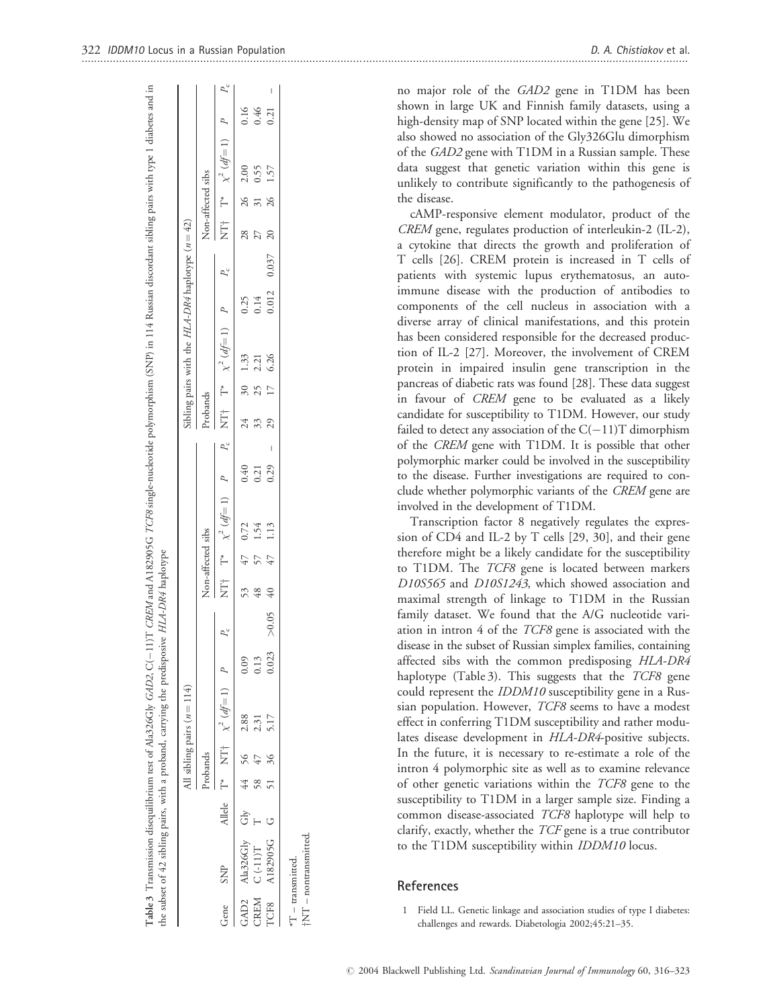|             |                          |  |          | All sibling pairs $(n = 114)$ |       |             |    |                   |                                                                   |      |              |    | Sibling pairs with the $HLA-DR4$ haplotype $(n=42)$ |      |                    |                   |                           |                                        |      |
|-------------|--------------------------|--|----------|-------------------------------|-------|-------------|----|-------------------|-------------------------------------------------------------------|------|--------------|----|-----------------------------------------------------|------|--------------------|-------------------|---------------------------|----------------------------------------|------|
|             |                          |  | Probands |                               |       |             |    | Non-affected sibs |                                                                   |      | Probands     |    |                                                     |      |                    | Non-affected sibs |                           |                                        |      |
| Gene        | <b>SNP</b>               |  |          | Allele T* NT† $\chi^2(d)=1$ P |       | $P_c$       |    |                   | NT $T^*$ $\chi^2(d)=1$ $P$ $P_c$ NT $T^*$ $\chi^2(d)=1$ $P$ $P_c$ |      |              |    |                                                     |      |                    |                   |                           | NT† $\Gamma^*$ $\chi^2$ (df=1) P $P_c$ |      |
| GAD2        | Ala326Gly Gly 44 56 2.88 |  |          |                               | 0.09  |             |    | 53 47 0.72        |                                                                   | 0.40 | $24$ 30 1.33 |    |                                                     | 0.25 |                    | 28 26 2.00        |                           |                                        | 0.16 |
|             | CREM C(-11)T             |  | 58 47    | 2.31                          | 0.13  |             | 48 |                   | 1.54                                                              | 0.21 | 33           | 25 | 2.21                                                | 0.14 |                    | 27                | $\overline{\frac{31}{2}}$ | 0.55                                   | 0.46 |
| <b>TCF8</b> | A182905G G               |  | 51 36    | 5.17                          | 0.023 | $> 0.05$ 40 |    | 47                | 1.13                                                              | 0.29 | 29           | 17 | 6.26                                                |      | $0.012$ $0.037$ 20 |                   | 26 1.57                   |                                        | 0.21 |

Table 3 Transmission disequilibrium rest of Ala326Gly GAD2, C(--11)T CREM and A182905G 7CF8 single-nucleotide polymorphism (SNP) in 114 Russian discordant sibling pairs with type 1 diabetes and in

11)T CREM and A182905G TCF8 single-nucleotide polymorphism (SNP) in 114 Russian discordant sibling pairs with type 1 diabetes and in

Transmission disequilibrium test of Ala326Gly GAD2, C(

no major role of the GAD2 gene in T1DM has been shown in large UK and Finnish family datasets, using a high-density map of SNP located within the gene [25]. We also showed no association of the Gly326Glu dimorphism of the GAD2 gene with T1DM in a Russian sample. These data suggest that genetic variation within this gene is unlikely to contribute significantly to the pathogenesis of the disease.

cAMP-responsive element modulator, product of the CREM gene, regulates production of interleukin-2 (IL-2), a cytokine that directs the growth and proliferation of T cells [26]. CREM protein is increased in T cells of patients with systemic lupus erythematosus, an autoimmune disease with the production of antibodies to components of the cell nucleus in association with a diverse array of clinical manifestations, and this protein has been considered responsible for the decreased production of IL-2 [27]. Moreover, the involvement of CREM protein in impaired insulin gene transcription in the pancreas of diabetic rats was found [28]. These data suggest in favour of CREM gene to be evaluated as a likely candidate for susceptibility to T1DM. However, our study failed to detect any association of the  $C(-11)T$  dimorphism of the CREM gene with T1DM. It is possible that other polymorphic marker could be involved in the susceptibility to the disease. Further investigations are required to conclude whether polymorphic variants of the CREM gene are involved in the development of T1DM.

Transcription factor 8 negatively regulates the expression of CD4 and IL-2 by T cells [29, 30], and their gene therefore might be a likely candidate for the susceptibility to T1DM. The TCF8 gene is located between markers D10S565 and D10S1243, which showed association and maximal strength of linkage to T1DM in the Russian family dataset. We found that the A/G nucleotide variation in intron 4 of the TCF8 gene is associated with the disease in the subset of Russian simplex families, containing affected sibs with the common predisposing HLA-DR4 haplotype (Table 3). This suggests that the TCF8 gene could represent the IDDM10 susceptibility gene in a Russian population. However, TCF8 seems to have a modest effect in conferring T1DM susceptibility and rather modulates disease development in HLA-DR4-positive subjects. In the future, it is necessary to re-estimate a role of the intron 4 polymorphic site as well as to examine relevance of other genetic variations within the TCF8 gene to the susceptibility to T1DM in a larger sample size. Finding a common disease-associated TCF8 haplotype will help to clarify, exactly, whether the TCF gene is a true contributor to the T1DM susceptibility within IDDM10 locus.

# References

Field LL. Genetic linkage and association studies of type I diabetes: challenges and rewards. Diabetologia 2002;45:21–35.